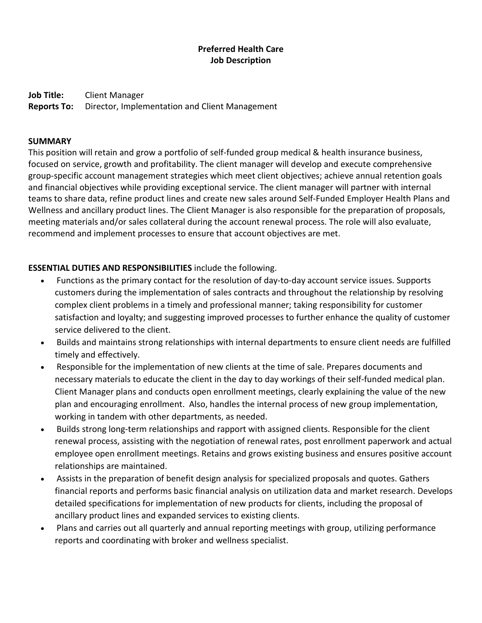## **Preferred Health Care Job Description**

**Job Title:** Client Manager **Reports To:** Director, Implementation and Client Management

#### **SUMMARY**

This position will retain and grow a portfolio of self-funded group medical & health insurance business, focused on service, growth and profitability. The client manager will develop and execute comprehensive group-specific account management strategies which meet client objectives; achieve annual retention goals and financial objectives while providing exceptional service. The client manager will partner with internal teams to share data, refine product lines and create new sales around Self-Funded Employer Health Plans and Wellness and ancillary product lines. The Client Manager is also responsible for the preparation of proposals, meeting materials and/or sales collateral during the account renewal process. The role will also evaluate, recommend and implement processes to ensure that account objectives are met.

### **ESSENTIAL DUTIES AND RESPONSIBILITIES** include the following.

- Functions as the primary contact for the resolution of day-to-day account service issues. Supports customers during the implementation of sales contracts and throughout the relationship by resolving complex client problems in a timely and professional manner; taking responsibility for customer satisfaction and loyalty; and suggesting improved processes to further enhance the quality of customer service delivered to the client.
- Builds and maintains strong relationships with internal departments to ensure client needs are fulfilled timely and effectively.
- Responsible for the implementation of new clients at the time of sale. Prepares documents and necessary materials to educate the client in the day to day workings of their self-funded medical plan. Client Manager plans and conducts open enrollment meetings, clearly explaining the value of the new plan and encouraging enrollment. Also, handles the internal process of new group implementation, working in tandem with other departments, as needed.
- Builds strong long-term relationships and rapport with assigned clients. Responsible for the client renewal process, assisting with the negotiation of renewal rates, post enrollment paperwork and actual employee open enrollment meetings. Retains and grows existing business and ensures positive account relationships are maintained.
- Assists in the preparation of benefit design analysis for specialized proposals and quotes. Gathers financial reports and performs basic financial analysis on utilization data and market research. Develops detailed specifications for implementation of new products for clients, including the proposal of ancillary product lines and expanded services to existing clients.
- Plans and carries out all quarterly and annual reporting meetings with group, utilizing performance reports and coordinating with broker and wellness specialist.